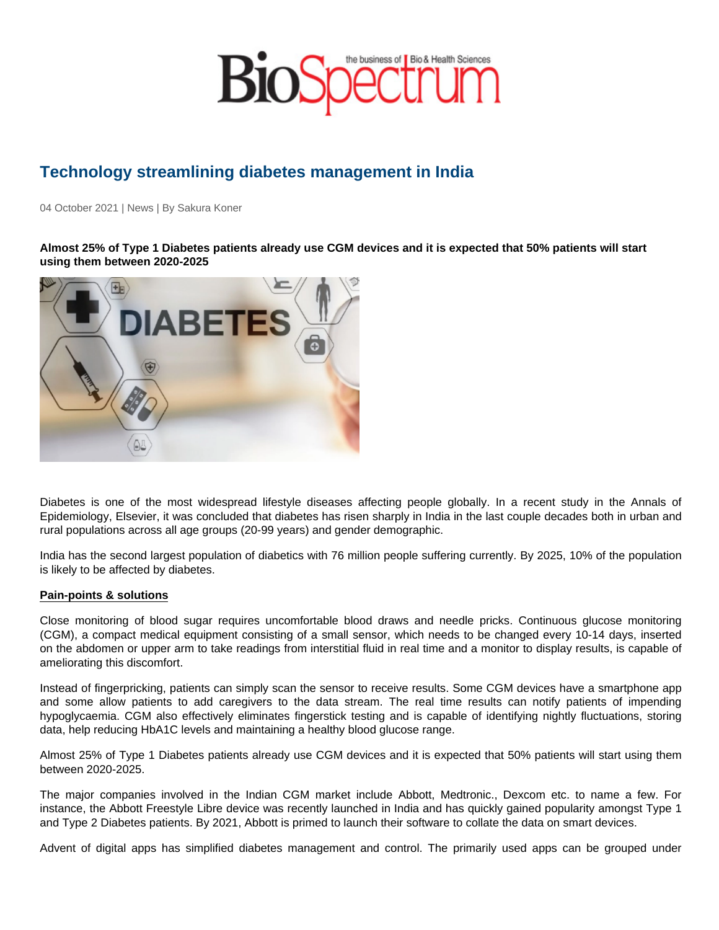## Technology streamlining diabetes management in India

04 October 2021 | News | By Sakura Koner

Almost 25% of Type 1 Diabetes patients already use CGM devices and it is expected that 50% patients will start using them between 2020-2025

Diabetes is one of the most widespread lifestyle diseases affecting people globally. In a recent study in the Annals of Epidemiology, Elsevier, it was concluded that diabetes has risen sharply in India in the last couple decades both in urban and rural populations across all age groups (20-99 years) and gender demographic.

India has the second largest population of diabetics with 76 million people suffering currently. By 2025, 10% of the population is likely to be affected by diabetes.

## Pain-points & solutions

Close monitoring of blood sugar requires uncomfortable blood draws and needle pricks. Continuous glucose monitoring (CGM), a compact medical equipment consisting of a small sensor, which needs to be changed every 10-14 days, inserted on the abdomen or upper arm to take readings from interstitial fluid in real time and a monitor to display results, is capable of ameliorating this discomfort.

Instead of fingerpricking, patients can simply scan the sensor to receive results. Some CGM devices have a smartphone app and some allow patients to add caregivers to the data stream. The real time results can notify patients of impending hypoglycaemia. CGM also effectively eliminates fingerstick testing and is capable of identifying nightly fluctuations, storing data, help reducing HbA1C levels and maintaining a healthy blood glucose range.

Almost 25% of Type 1 Diabetes patients already use CGM devices and it is expected that 50% patients will start using them between 2020-2025.

The major companies involved in the Indian CGM market include Abbott, Medtronic., Dexcom etc. to name a few. For instance, the Abbott Freestyle Libre device was recently launched in India and has quickly gained popularity amongst Type 1 and Type 2 Diabetes patients. By 2021, Abbott is primed to launch their software to collate the data on smart devices.

Advent of digital apps has simplified diabetes management and control. The primarily used apps can be grouped under